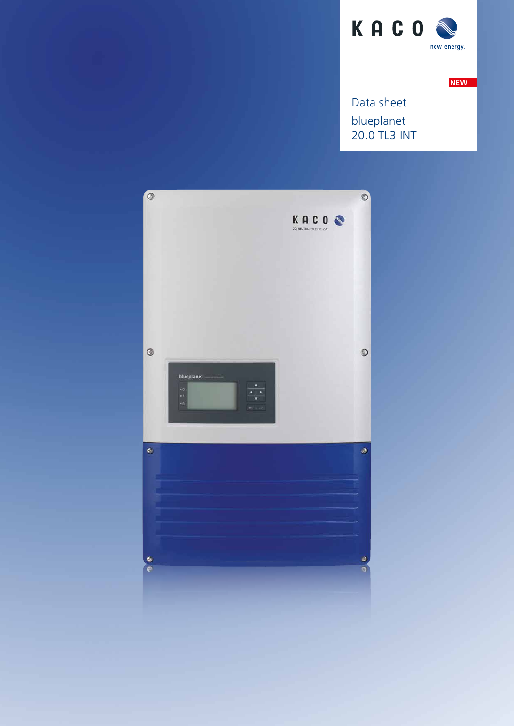

**NEW**

blueplanet 20.0 TL3 INT Data sheet

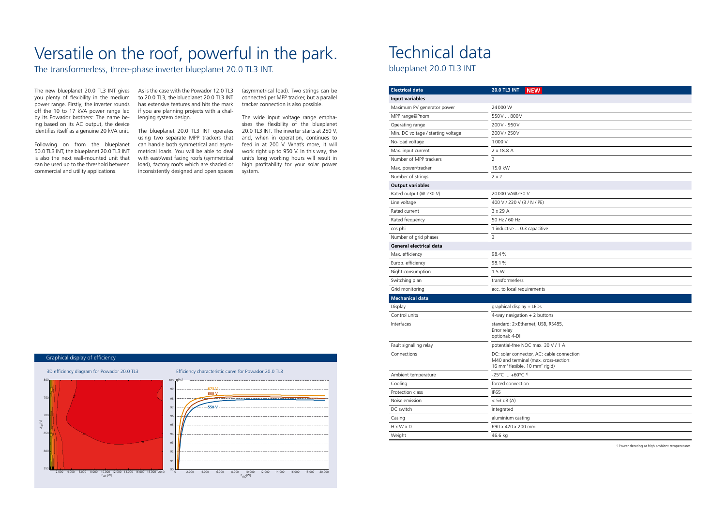## Versatile on the roof, powerful in the park.

The transformerless, three-phase inverter blueplanet 20.0 TL3 INT.

power range. Firstly, the inverter rounds off the 10 to 17 kVA power range led by its Powador brothers: The name being based on its AC output, the device identifies itself as a genuine 20 kVA unit.

The new blueplanet 20.0 TL3 INT gives As is the case with the Powador 12.0 TL3 you plenty of flexibility in the medium to 20.0 TL3, the blueplanet 20.0 TL3 INT has extensive features and hits the mark if you are planning projects with a challenging system design.

Following on from the blueplanet 50.0 TL3 INT, the blueplanet 20.0 TL3 INT is also the next wall-mounted unit that can be used up to the threshold between commercial and utility applications.

The blueplanet 20.0 TL3 INT operates using two separate MPP trackers that can handle both symmetrical and asymmetrical loads. You will be able to deal with east/west facing roofs (symmetrical load), factory roofs which are shaded or inconsistently designed and open spaces

(asymmetrical load). Two strings can be connected per MPP tracker, but a parallel tracker connection is also possible.

The wide input voltage range emphasises the flexibility of the blueplanet 20.0 TL3 INT. The inverter starts at 250 V, and, when in operation, continues to feed in at 200 V. What's more, it will work right up to 950 V. In this way, the unit's long working hours will result in high profitability for your solar power system.

> able connection oss-section: rigid)



## Technical data

blueplanet 20.0 TL3 INT

1) Power derating at high ambient temperatures.

| <b>Electrical data</b>             | <b>NEW</b><br><b>20.0 TL3 INT</b>                                                                                                    |
|------------------------------------|--------------------------------------------------------------------------------------------------------------------------------------|
| <b>Input variables</b>             |                                                                                                                                      |
| Maximum PV generator power         | 24000W                                                                                                                               |
| MPP range@Pnom                     | 550V  800V                                                                                                                           |
| Operating range                    | 200V - 950V                                                                                                                          |
| Min. DC voltage / starting voltage | 200V/250V                                                                                                                            |
| No-load voltage                    | 1000 V                                                                                                                               |
| Max. input current                 | 2 x 18.8 A                                                                                                                           |
| Number of MPP trackers             | 2                                                                                                                                    |
| Max. power/tracker                 | 15.0 kW                                                                                                                              |
| Number of strings                  | $2 \times 2$                                                                                                                         |
| <b>Output variables</b>            |                                                                                                                                      |
| Rated output (@ 230 V)             | 20000 VA@230 V                                                                                                                       |
| Line voltage                       | 400 V / 230 V (3 / N / PE)                                                                                                           |
| Rated current                      | $3 \times 29$ A                                                                                                                      |
| Rated frequency                    | 50 Hz / 60 Hz                                                                                                                        |
| cos phi                            | 1 inductive  0.3 capacitive                                                                                                          |
| Number of grid phases              | 3                                                                                                                                    |
| <b>General electrical data</b>     |                                                                                                                                      |
| Max. efficiency                    | 98.4%                                                                                                                                |
| Europ. efficiency                  | 98.1%                                                                                                                                |
| Night consumption                  | 1.5 W                                                                                                                                |
| Switching plan                     | transformerless                                                                                                                      |
| Grid monitoring                    | acc. to local requirements                                                                                                           |
| <b>Mechanical data</b>             |                                                                                                                                      |
| Display                            | graphical display + LEDs                                                                                                             |
| Control units                      | 4-way navigation $+2$ buttons                                                                                                        |
| Interfaces                         | standard: 2xEthernet, USB, RS485,<br>Error relay<br>optional: 4-DI                                                                   |
| Fault signalling relay             | potential-free NOC max. 30 V / 1 A                                                                                                   |
| Connections                        | DC: solar connector, AC: cable conn<br>M40 and terminal (max. cross-sectio<br>16 mm <sup>2</sup> flexible, 10 mm <sup>2</sup> rigid) |
| Ambient temperature                | $-25^{\circ}$ C  +60 $^{\circ}$ C <sup>1)</sup>                                                                                      |
| Cooling                            | forced convection                                                                                                                    |
| Protection class                   | IP <sub>65</sub>                                                                                                                     |
| Noise emission                     | < 53 dB (A)                                                                                                                          |
| DC switch                          | integrated                                                                                                                           |
| Casing                             | aluminium casting                                                                                                                    |
| H x W x D                          | 690 x 420 x 200 mm                                                                                                                   |
| Weight                             | 46.6 kg                                                                                                                              |

## Graphical display of efficiency

3D efficiency diagram for Powador 20.0 TL3 Efficiency characteristic curve for Powador 20.0 TL3